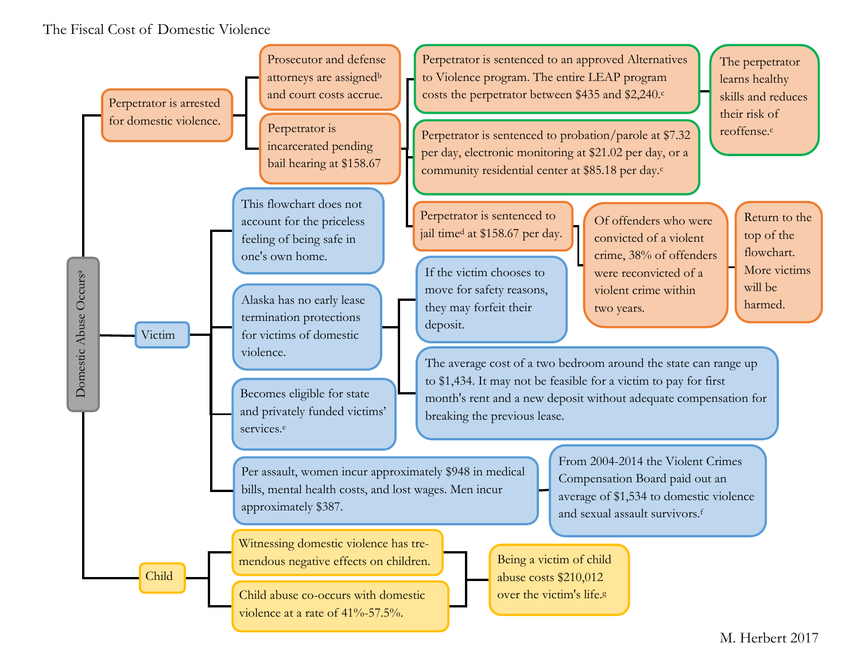## The Fiscal Cost of Domestic Violence